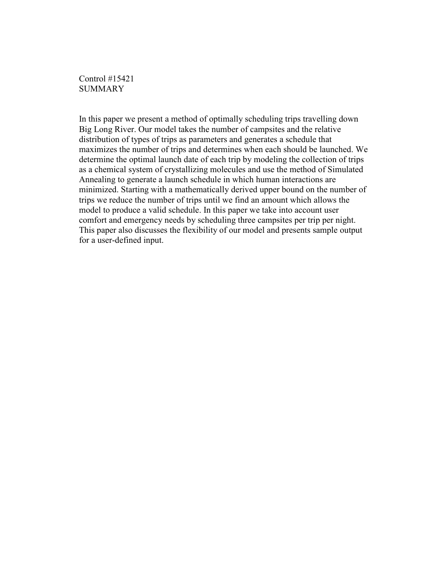Control #15421 **SUMMARY** 

In this paper we present a method of optimally scheduling trips travelling down Big Long River. Our model takes the number of campsites and the relative distribution of types of trips as parameters and generates a schedule that maximizes the number of trips and determines when each should be launched. We determine the optimal launch date of each trip by modeling the collection of trips as a chemical system of crystallizing molecules and use the method of Simulated Annealing to generate a launch schedule in which human interactions are minimized. Starting with a mathematically derived upper bound on the number of trips we reduce the number of trips until we find an amount which allows the model to produce a valid schedule. In this paper we take into account user comfort and emergency needs by scheduling three campsites per trip per night. This paper also discusses the flexibility of our model and presents sample output for a user-defined input.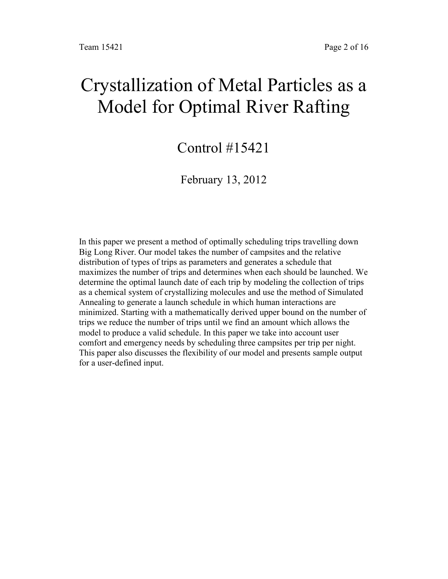# Crystallization of Metal Particles as a Model for Optimal River Rafting

## Control #15421

### February 13, 2012

In this paper we present a method of optimally scheduling trips travelling down Big Long River. Our model takes the number of campsites and the relative distribution of types of trips as parameters and generates a schedule that maximizes the number of trips and determines when each should be launched. We determine the optimal launch date of each trip by modeling the collection of trips as a chemical system of crystallizing molecules and use the method of Simulated Annealing to generate a launch schedule in which human interactions are minimized. Starting with a mathematically derived upper bound on the number of trips we reduce the number of trips until we find an amount which allows the model to produce a valid schedule. In this paper we take into account user comfort and emergency needs by scheduling three campsites per trip per night. This paper also discusses the flexibility of our model and presents sample output for a user-defined input.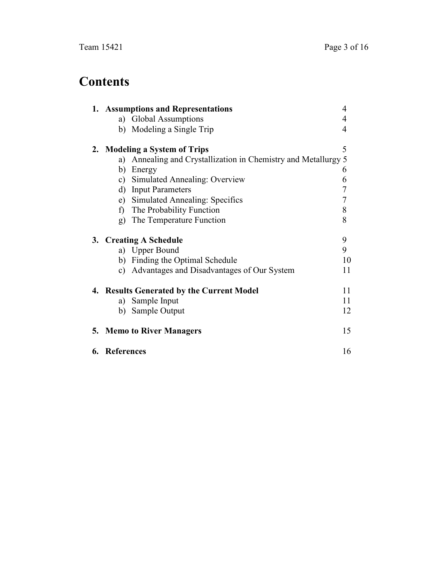## **Contents**

|    | 1. Assumptions and Representations<br>4 |                                                             |    |
|----|-----------------------------------------|-------------------------------------------------------------|----|
|    |                                         | a) Global Assumptions                                       | 4  |
|    | b)                                      | Modeling a Single Trip                                      | 4  |
|    |                                         | 2. Modeling a System of Trips                               | 5  |
|    | a)                                      | Annealing and Crystallization in Chemistry and Metallurgy 5 |    |
|    | b)                                      | Energy                                                      | 6  |
|    | c)                                      | Simulated Annealing: Overview                               | 6  |
|    | d)                                      | <b>Input Parameters</b>                                     | 7  |
|    | e)                                      | <b>Simulated Annealing: Specifics</b>                       | 7  |
|    | f)                                      | The Probability Function                                    | 8  |
|    | g)                                      | The Temperature Function                                    | 8  |
|    |                                         | 3. Creating A Schedule                                      | 9  |
|    |                                         | a) Upper Bound                                              | 9  |
|    |                                         | b) Finding the Optimal Schedule                             | 10 |
|    | c)                                      | Advantages and Disadvantages of Our System                  | 11 |
|    |                                         | 4. Results Generated by the Current Model                   | 11 |
|    | a)                                      | Sample Input                                                | 11 |
|    | b)                                      | Sample Output                                               | 12 |
| 5. |                                         | <b>Memo to River Managers</b>                               | 15 |
|    | 6. References                           |                                                             | 16 |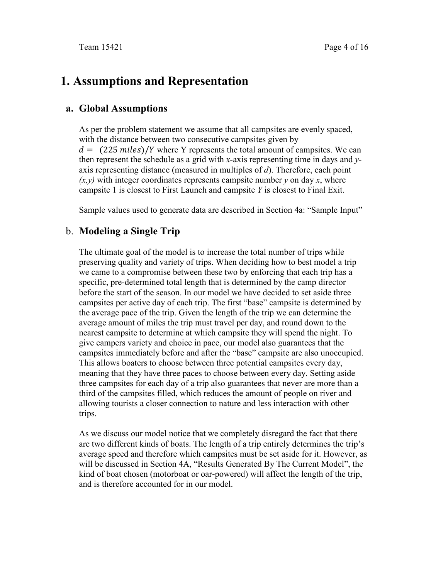## **1. Assumptions and Representation**

#### **a. Global Assumptions**

As per the problem statement we assume that all campsites are evenly spaced, with the distance between two consecutive campsites given by  $d = (225 \text{ miles})/Y$  where Y represents the total amount of campsites. We can then represent the schedule as a grid with *x-*axis representing time in days and *y*axis representing distance (measured in multiples of *d*). Therefore, each point  $(x, y)$  with integer coordinates represents campsite number *y* on day *x*, where campsite 1 is closest to First Launch and campsite *Y* is closest to Final Exit.

Sample values used to generate data are described in Section 4a: "Sample Input"

#### b. **Modeling a Single Trip**

The ultimate goal of the model is to increase the total number of trips while preserving quality and variety of trips. When deciding how to best model a trip we came to a compromise between these two by enforcing that each trip has a specific, pre-determined total length that is determined by the camp director before the start of the season. In our model we have decided to set aside three campsites per active day of each trip. The first "base" campsite is determined by the average pace of the trip. Given the length of the trip we can determine the average amount of miles the trip must travel per day, and round down to the nearest campsite to determine at which campsite they will spend the night. To give campers variety and choice in pace, our model also guarantees that the campsites immediately before and after the "base" campsite are also unoccupied. This allows boaters to choose between three potential campsites every day, meaning that they have three paces to choose between every day. Setting aside three campsites for each day of a trip also guarantees that never are more than a third of the campsites filled, which reduces the amount of people on river and allowing tourists a closer connection to nature and less interaction with other trips.

As we discuss our model notice that we completely disregard the fact that there are two different kinds of boats. The length of a trip entirely determines the trip's average speed and therefore which campsites must be set aside for it. However, as will be discussed in Section 4A, "Results Generated By The Current Model", the kind of boat chosen (motorboat or oar-powered) will affect the length of the trip, and is therefore accounted for in our model.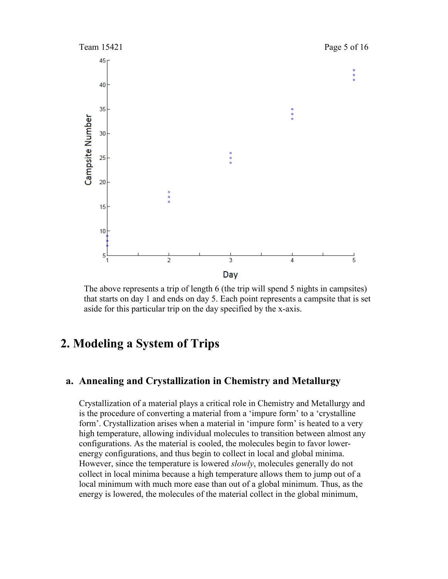

The above represents a trip of length 6 (the trip will spend 5 nights in campsites) that starts on day 1 and ends on day 5. Each point represents a campsite that is set aside for this particular trip on the day specified by the x-axis.

### **2. Modeling a System of Trips**

#### **a. Annealing and Crystallization in Chemistry and Metallurgy**

Crystallization of a material plays a critical role in Chemistry and Metallurgy and is the procedure of converting a material from a 'impure form' to a 'crystalline form'. Crystallization arises when a material in 'impure form' is heated to a very high temperature, allowing individual molecules to transition between almost any configurations. As the material is cooled, the molecules begin to favor lowerenergy configurations, and thus begin to collect in local and global minima. However, since the temperature is lowered *slowly*, molecules generally do not collect in local minima because a high temperature allows them to jump out of a local minimum with much more ease than out of a global minimum. Thus, as the energy is lowered, the molecules of the material collect in the global minimum,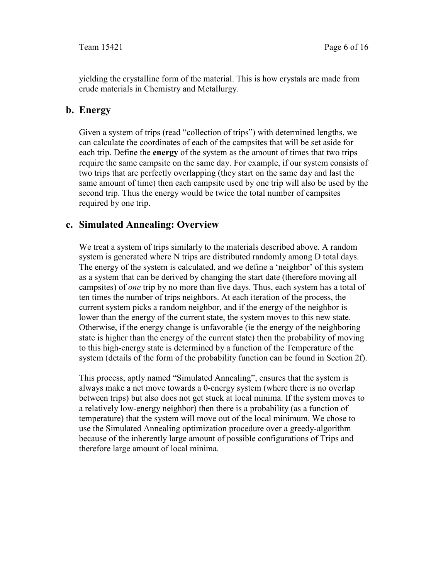yielding the crystalline form of the material. This is how crystals are made from crude materials in Chemistry and Metallurgy.

#### **b. Energy**

Given a system of trips (read "collection of trips") with determined lengths, we can calculate the coordinates of each of the campsites that will be set aside for each trip. Define the **energy** of the system as the amount of times that two trips require the same campsite on the same day. For example, if our system consists of two trips that are perfectly overlapping (they start on the same day and last the same amount of time) then each campsite used by one trip will also be used by the second trip. Thus the energy would be twice the total number of campsites required by one trip.

#### **c. Simulated Annealing: Overview**

We treat a system of trips similarly to the materials described above. A random system is generated where N trips are distributed randomly among D total days. The energy of the system is calculated, and we define a 'neighbor' of this system as a system that can be derived by changing the start date (therefore moving all campsites) of *one* trip by no more than five days. Thus, each system has a total of ten times the number of trips neighbors. At each iteration of the process, the current system picks a random neighbor, and if the energy of the neighbor is lower than the energy of the current state, the system moves to this new state. Otherwise, if the energy change is unfavorable (ie the energy of the neighboring state is higher than the energy of the current state) then the probability of moving to this high-energy state is determined by a function of the Temperature of the system (details of the form of the probability function can be found in Section 2f).

This process, aptly named "Simulated Annealing", ensures that the system is always make a net move towards a 0-energy system (where there is no overlap between trips) but also does not get stuck at local minima. If the system moves to a relatively low-energy neighbor) then there is a probability (as a function of temperature) that the system will move out of the local minimum. We chose to use the Simulated Annealing optimization procedure over a greedy-algorithm because of the inherently large amount of possible configurations of Trips and therefore large amount of local minima.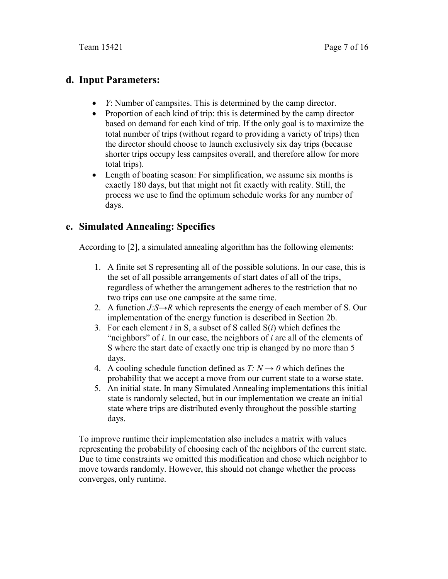#### **d. Input Parameters:**

- *Y*: Number of campsites. This is determined by the camp director.
- Proportion of each kind of trip: this is determined by the camp director based on demand for each kind of trip. If the only goal is to maximize the total number of trips (without regard to providing a variety of trips) then the director should choose to launch exclusively six day trips (because shorter trips occupy less campsites overall, and therefore allow for more total trips).
- Length of boating season: For simplification, we assume six months is exactly 180 days, but that might not fit exactly with reality. Still, the process we use to find the optimum schedule works for any number of days.

#### **e. Simulated Annealing: Specifics**

According to [2], a simulated annealing algorithm has the following elements:

- 1. A finite set S representing all of the possible solutions. In our case, this is the set of all possible arrangements of start dates of all of the trips, regardless of whether the arrangement adheres to the restriction that no two trips can use one campsite at the same time.
- 2. A function *J:S→R* which represents the energy of each member of S. Our implementation of the energy function is described in Section 2b.
- 3. For each element *i* in S, a subset of S called S(*i*) which defines the "neighbors" of *i*. In our case, the neighbors of *i* are all of the elements of S where the start date of exactly one trip is changed by no more than 5 days.
- 4. A cooling schedule function defined as  $T: N \rightarrow 0$  which defines the probability that we accept a move from our current state to a worse state.
- 5. An initial state. In many Simulated Annealing implementations this initial state is randomly selected, but in our implementation we create an initial state where trips are distributed evenly throughout the possible starting days.

To improve runtime their implementation also includes a matrix with values representing the probability of choosing each of the neighbors of the current state. Due to time constraints we omitted this modification and chose which neighbor to move towards randomly. However, this should not change whether the process converges, only runtime.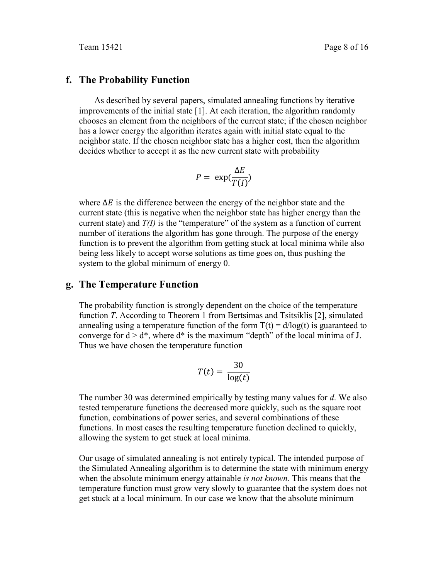#### **f. The Probability Function**

As described by several papers, simulated annealing functions by iterative improvements of the initial state [1]. At each iteration, the algorithm randomly chooses an element from the neighbors of the current state; if the chosen neighbor has a lower energy the algorithm iterates again with initial state equal to the neighbor state. If the chosen neighbor state has a higher cost, then the algorithm decides whether to accept it as the new current state with probability

$$
P = \exp(\frac{\Delta E}{T(I)})
$$

where  $\Delta E$  is the difference between the energy of the neighbor state and the current state (this is negative when the neighbor state has higher energy than the current state) and *T(I)* is the "temperature" of the system as a function of current number of iterations the algorithm has gone through. The purpose of the energy function is to prevent the algorithm from getting stuck at local minima while also being less likely to accept worse solutions as time goes on, thus pushing the system to the global minimum of energy 0.

#### **g. The Temperature Function**

The probability function is strongly dependent on the choice of the temperature function *T*. According to Theorem 1 from Bertsimas and Tsitsiklis [2], simulated annealing using a temperature function of the form  $T(t) = d/log(t)$  is guaranteed to converge for  $d > d^*$ , where  $d^*$  is the maximum "depth" of the local minima of J. Thus we have chosen the temperature function

$$
T(t) = \frac{30}{\log(t)}
$$

The number 30 was determined empirically by testing many values for *d*. We also tested temperature functions the decreased more quickly, such as the square root function, combinations of power series, and several combinations of these functions. In most cases the resulting temperature function declined to quickly, allowing the system to get stuck at local minima.

Our usage of simulated annealing is not entirely typical. The intended purpose of the Simulated Annealing algorithm is to determine the state with minimum energy when the absolute minimum energy attainable *is not known.* This means that the temperature function must grow very slowly to guarantee that the system does not get stuck at a local minimum. In our case we know that the absolute minimum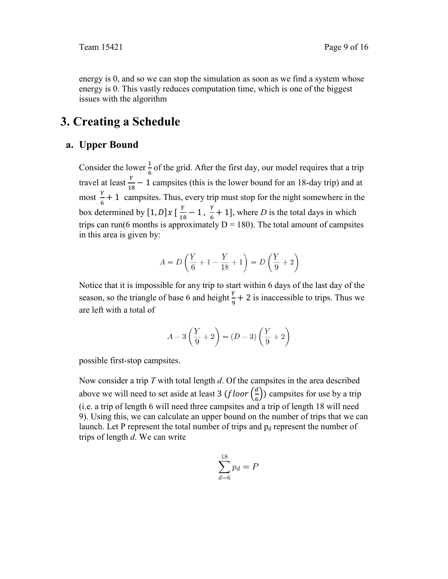energy is 0, and so we can stop the simulation as soon as we find a system whose energy is 0. This vastly reduces computation time, which is one of the biggest issues with the algorithm

## **3. Creating a Schedule**

#### **a. Upper Bound**

Consider the lower  $\frac{1}{6}$  of the grid. After the first day, our model requires that a trip travel at least  $\frac{Y}{18} - 1$  campsites (this is the lower bound for an 18-day trip) and at most  $\frac{Y}{6}$  + 1 campsites. Thus, every trip must stop for the night somewhere in the box determined by  $[1, D]x \left[\frac{Y}{18} - 1, \frac{Y}{6} + 1\right]$ , where *D* is the total days in which trips can run(6 months is approximately  $D = 180$ ). The total amount of campsites in this area is given by:

$$
A = D\left(\frac{Y}{6} + 1 - \frac{Y}{18} + 1\right) = D\left(\frac{Y}{9} + 2\right)
$$

Notice that it is impossible for any trip to start within 6 days of the last day of the season, so the triangle of base 6 and height  $\frac{y}{9} + 2$  is inaccessible to trips. Thus we are left with a total of

$$
A-3\left(\frac{Y}{9}+2\right)=(D-3)\left(\frac{Y}{9}+2\right)
$$

possible first-stop campsites.

Now consider a trip *T* with total length *d*. Of the campsites in the area described above we will need to set aside at least 3  $(floor(\frac{d}{6}))$  campsites for use by a trip (i.e. a trip of length 6 will need three campsites and a trip of length 18 will need 9). Using this, we can calculate an upper bound on the number of trips that we can launch. Let P represent the total number of trips and  $p_d$  represent the number of trips of length *d*. We can write

$$
\sum_{d=6}^{18} p_d = P
$$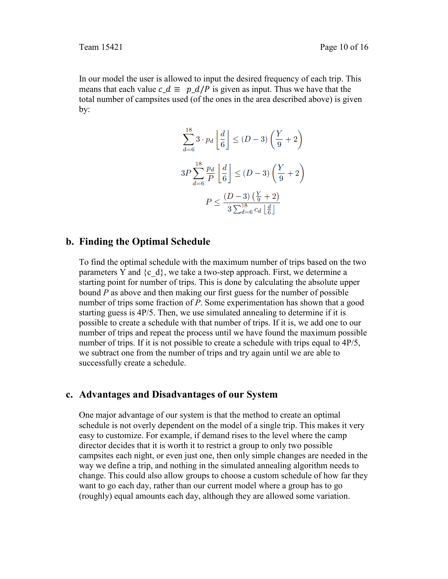In our model the user is allowed to input the desired frequency of each trip. This means that each value  $c_d \equiv p_d / p$  is given as input. Thus we have that the total number of campsites used (of the ones in the area described above) is given by:

$$
\sum_{d=6}^{18} 3 \cdot p_d \left\lfloor \frac{d}{6} \right\rfloor \le (D-3) \left( \frac{Y}{9} + 2 \right)
$$
  

$$
3P \sum_{d=6}^{18} \frac{p_d}{P} \left\lfloor \frac{d}{6} \right\rfloor \le (D-3) \left( \frac{Y}{9} + 2 \right)
$$
  

$$
P \le \frac{(D-3) \left( \frac{Y}{9} + 2 \right)}{3 \sum_{d=6}^{18} c_d \left\lfloor \frac{d}{6} \right\rfloor}
$$

#### **b. Finding the Optimal Schedule**

To find the optimal schedule with the maximum number of trips based on the two parameters Y and  $\{c, d\}$ , we take a two-step approach. First, we determine a starting point for number of trips. This is done by calculating the absolute upper bound *P* as above and then making our first guess for the number of possible number of trips some fraction of *P*. Some experimentation has shown that a good starting guess is 4P/5. Then, we use simulated annealing to determine if it is possible to create a schedule with that number of trips. If it is, we add one to our number of trips and repeat the process until we have found the maximum possible number of trips. If it is not possible to create a schedule with trips equal to 4P/5, we subtract one from the number of trips and try again until we are able to successfully create a schedule.

#### **c. Advantages and Disadvantages of our System**

One major advantage of our system is that the method to create an optimal schedule is not overly dependent on the model of a single trip. This makes it very easy to customize. For example, if demand rises to the level where the camp director decides that it is worth it to restrict a group to only two possible campsites each night, or even just one, then only simple changes are needed in the way we define a trip, and nothing in the simulated annealing algorithm needs to change. This could also allow groups to choose a custom schedule of how far they want to go each day, rather than our current model where a group has to go (roughly) equal amounts each day, although they are allowed some variation.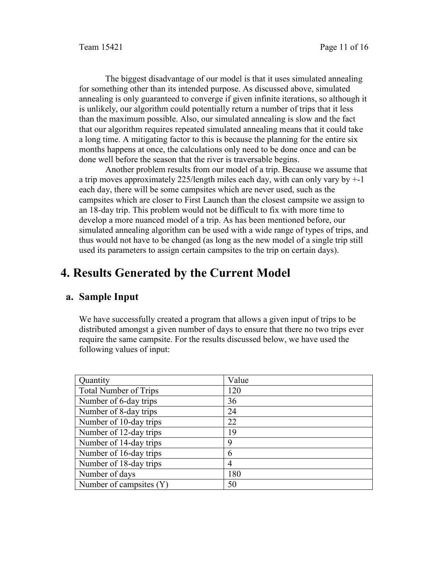The biggest disadvantage of our model is that it uses simulated annealing for something other than its intended purpose. As discussed above, simulated annealing is only guaranteed to converge if given infinite iterations, so although it is unlikely, our algorithm could potentially return a number of trips that it less than the maximum possible. Also, our simulated annealing is slow and the fact that our algorithm requires repeated simulated annealing means that it could take a long time. A mitigating factor to this is because the planning for the entire six months happens at once, the calculations only need to be done once and can be done well before the season that the river is traversable begins.

 Another problem results from our model of a trip. Because we assume that a trip moves approximately 225/length miles each day, with can only vary by +-1 each day, there will be some campsites which are never used, such as the campsites which are closer to First Launch than the closest campsite we assign to an 18-day trip. This problem would not be difficult to fix with more time to develop a more nuanced model of a trip. As has been mentioned before, our simulated annealing algorithm can be used with a wide range of types of trips, and thus would not have to be changed (as long as the new model of a single trip still used its parameters to assign certain campsites to the trip on certain days).

## **4. Results Generated by the Current Model**

#### **a. Sample Input**

We have successfully created a program that allows a given input of trips to be distributed amongst a given number of days to ensure that there no two trips ever require the same campsite. For the results discussed below, we have used the following values of input:

| Value |
|-------|
| 120   |
| 36    |
| 24    |
| 22    |
| 19    |
| 9     |
| 6     |
| 4     |
| 180   |
| 50    |
|       |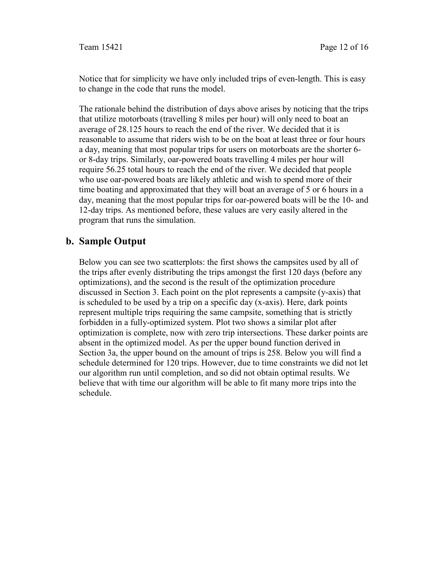Notice that for simplicity we have only included trips of even-length. This is easy to change in the code that runs the model.

The rationale behind the distribution of days above arises by noticing that the trips that utilize motorboats (travelling 8 miles per hour) will only need to boat an average of 28.125 hours to reach the end of the river. We decided that it is reasonable to assume that riders wish to be on the boat at least three or four hours a day, meaning that most popular trips for users on motorboats are the shorter 6 or 8-day trips. Similarly, oar-powered boats travelling 4 miles per hour will require 56.25 total hours to reach the end of the river. We decided that people who use oar-powered boats are likely athletic and wish to spend more of their time boating and approximated that they will boat an average of 5 or 6 hours in a day, meaning that the most popular trips for oar-powered boats will be the 10- and 12-day trips. As mentioned before, these values are very easily altered in the program that runs the simulation.

#### **b. Sample Output**

Below you can see two scatterplots: the first shows the campsites used by all of the trips after evenly distributing the trips amongst the first 120 days (before any optimizations), and the second is the result of the optimization procedure discussed in Section 3. Each point on the plot represents a campsite (y-axis) that is scheduled to be used by a trip on a specific day (x-axis). Here, dark points represent multiple trips requiring the same campsite, something that is strictly forbidden in a fully-optimized system. Plot two shows a similar plot after optimization is complete, now with zero trip intersections. These darker points are absent in the optimized model. As per the upper bound function derived in Section 3a, the upper bound on the amount of trips is 258. Below you will find a schedule determined for 120 trips. However, due to time constraints we did not let our algorithm run until completion, and so did not obtain optimal results. We believe that with time our algorithm will be able to fit many more trips into the schedule.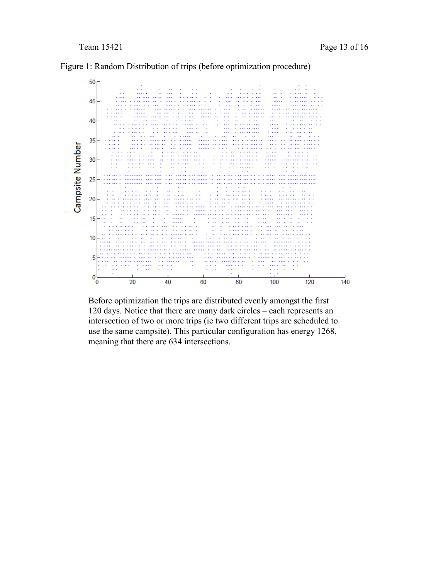

Figure 1: Random Distribution of trips (before optimization procedure)

Before optimization the trips are distributed evenly amongst the first 120 days. Notice that there are many dark circles – each represents an intersection of two or more trips (ie two different trips are scheduled to use the same campsite). This particular configuration has energy 1268, meaning that there are 634 intersections.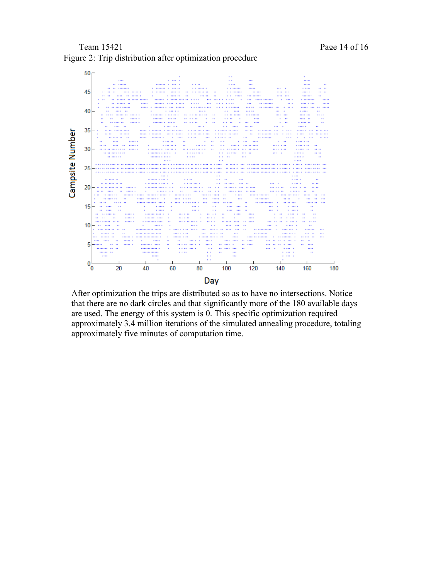#### Team 15421 Page 14 of 16 Figure 2: Trip distribution after optimization procedure



After optimization the trips are distributed so as to have no intersections. Notice that there are no dark circles and that significantly more of the 180 available days are used. The energy of this system is 0. This specific optimization required approximately 3.4 million iterations of the simulated annealing procedure, totaling approximately five minutes of computation time.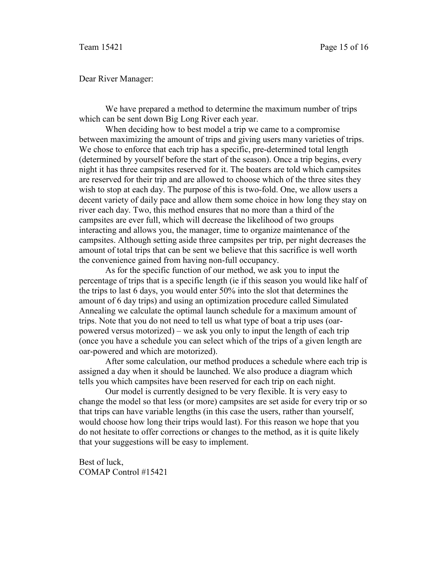Dear River Manager:

 We have prepared a method to determine the maximum number of trips which can be sent down Big Long River each year.

When deciding how to best model a trip we came to a compromise between maximizing the amount of trips and giving users many varieties of trips. We chose to enforce that each trip has a specific, pre-determined total length (determined by yourself before the start of the season). Once a trip begins, every night it has three campsites reserved for it. The boaters are told which campsites are reserved for their trip and are allowed to choose which of the three sites they wish to stop at each day. The purpose of this is two-fold. One, we allow users a decent variety of daily pace and allow them some choice in how long they stay on river each day. Two, this method ensures that no more than a third of the campsites are ever full, which will decrease the likelihood of two groups interacting and allows you, the manager, time to organize maintenance of the campsites. Although setting aside three campsites per trip, per night decreases the amount of total trips that can be sent we believe that this sacrifice is well worth the convenience gained from having non-full occupancy.

As for the specific function of our method, we ask you to input the percentage of trips that is a specific length (ie if this season you would like half of the trips to last 6 days, you would enter 50% into the slot that determines the amount of 6 day trips) and using an optimization procedure called Simulated Annealing we calculate the optimal launch schedule for a maximum amount of trips. Note that you do not need to tell us what type of boat a trip uses (oarpowered versus motorized) – we ask you only to input the length of each trip (once you have a schedule you can select which of the trips of a given length are oar-powered and which are motorized).

After some calculation, our method produces a schedule where each trip is assigned a day when it should be launched. We also produce a diagram which tells you which campsites have been reserved for each trip on each night.

 Our model is currently designed to be very flexible. It is very easy to change the model so that less (or more) campsites are set aside for every trip or so that trips can have variable lengths (in this case the users, rather than yourself, would choose how long their trips would last). For this reason we hope that you do not hesitate to offer corrections or changes to the method, as it is quite likely that your suggestions will be easy to implement.

Best of luck, COMAP Control #15421